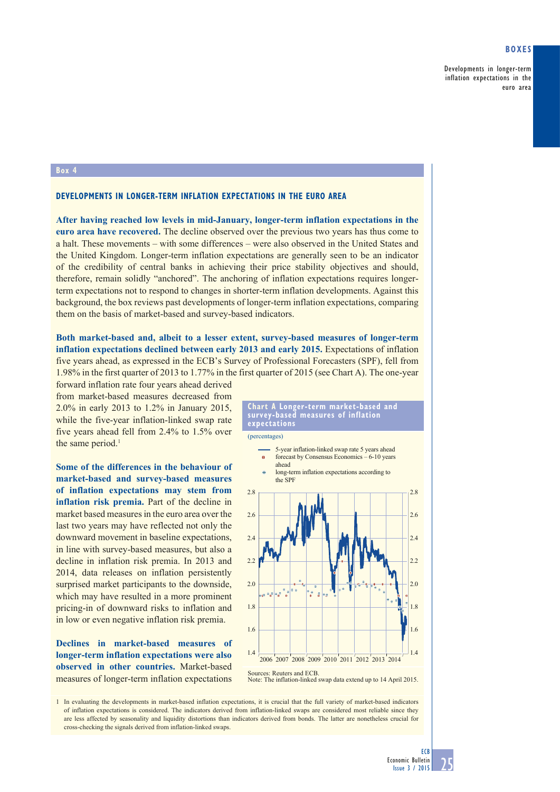## **Boxes**

Developments in longer-term inflation expectations in the euro area

## **Box 4**

## **Developments in longer-term inflation expectations in the euro area**

**After having reached low levels in mid-January, longer-term inflation expectations in the euro area have recovered.** The decline observed over the previous two years has thus come to a halt. These movements – with some differences – were also observed in the United States and the United Kingdom. Longer-term inflation expectations are generally seen to be an indicator of the credibility of central banks in achieving their price stability objectives and should, therefore, remain solidly "anchored". The anchoring of inflation expectations requires longerterm expectations not to respond to changes in shorter-term inflation developments. Against this background, the box reviews past developments of longer-term inflation expectations, comparing them on the basis of market-based and survey-based indicators.

## **Both market-based and, albeit to a lesser extent, survey-based measures of longer-term inflation expectations declined between early 2013 and early 2015.** Expectations of inflation five years ahead, as expressed in the ECB's Survey of Professional Forecasters (SPF), fell from 1.98% in the first quarter of 2013 to 1.77% in the first quarter of 2015 (see Chart A). The one-year

forward inflation rate four years ahead derived from market-based measures decreased from 2.0% in early 2013 to 1.2% in January 2015, while the five-year inflation-linked swap rate five years ahead fell from 2.4% to 1.5% over the same period.<sup>1</sup>

**Some of the differences in the behaviour of market-based and survey-based measures of inflation expectations may stem from inflation risk premia.** Part of the decline in market based measures in the euro area over the last two years may have reflected not only the downward movement in baseline expectations, in line with survey-based measures, but also a decline in inflation risk premia. In 2013 and 2014, data releases on inflation persistently surprised market participants to the downside, which may have resulted in a more prominent pricing-in of downward risks to inflation and in low or even negative inflation risk premia.

**Declines in market-based measures of longer-term inflation expectations were also observed in other countries.** Market-based measures of longer-term inflation expectations



(percentages)



Sources: Reuters and ECB Note: The inflation-linked swap data extend up to 14 April 2015.

1 In evaluating the developments in market-based inflation expectations, it is crucial that the full variety of market-based indicators of inflation expectations is considered. The indicators derived from inflation-linked swaps are considered most reliable since they are less affected by seasonality and liquidity distortions than indicators derived from bonds. The latter are nonetheless crucial for cross-checking the signals derived from inflation-linked swaps.